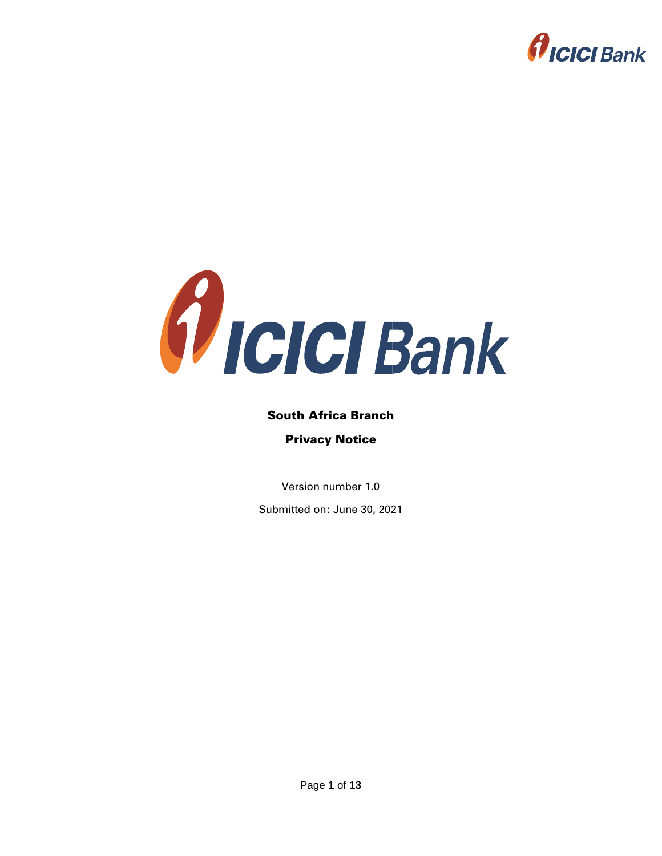



# South Africa Branch Privacy Notice

Version number 1.0

Submitted on: June 30, 2021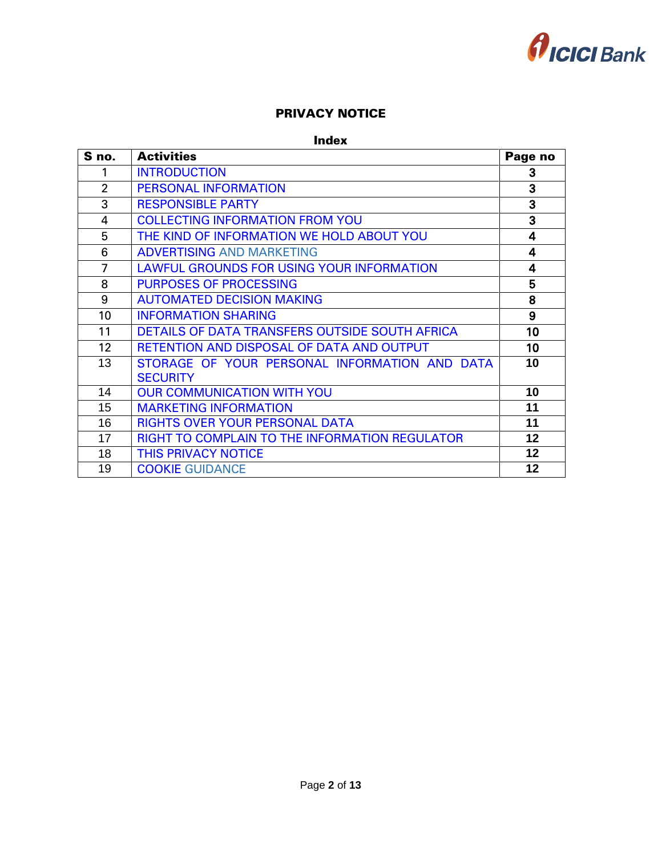

### PRIVACY NOTICE

#### Index

<span id="page-1-18"></span><span id="page-1-17"></span><span id="page-1-16"></span><span id="page-1-15"></span><span id="page-1-14"></span><span id="page-1-13"></span><span id="page-1-12"></span><span id="page-1-11"></span><span id="page-1-10"></span><span id="page-1-9"></span><span id="page-1-8"></span><span id="page-1-7"></span><span id="page-1-6"></span><span id="page-1-5"></span><span id="page-1-4"></span><span id="page-1-3"></span><span id="page-1-2"></span><span id="page-1-1"></span><span id="page-1-0"></span>

| S no.          | <b>Activities</b>                              | Page no |
|----------------|------------------------------------------------|---------|
| 1              | <b>INTRODUCTION</b>                            | 3       |
| $\overline{2}$ | <b>PERSONAL INFORMATION</b>                    | 3       |
| 3              | <b>RESPONSIBLE PARTY</b>                       | 3       |
| $\overline{4}$ | <b>COLLECTING INFORMATION FROM YOU</b>         | 3       |
| 5              | THE KIND OF INFORMATION WE HOLD ABOUT YOU      | 4       |
| 6              | <b>ADVERTISING AND MARKETING</b>               | 4       |
| 7              | LAWFUL GROUNDS FOR USING YOUR INFORMATION      | 4       |
| 8              | <b>PURPOSES OF PROCESSING</b>                  | 5       |
| 9              | <b>AUTOMATED DECISION MAKING</b>               | 8       |
| 10             | <b>INFORMATION SHARING</b>                     | 9       |
| 11             | DETAILS OF DATA TRANSFERS OUTSIDE SOUTH AFRICA | 10      |
| 12             | RETENTION AND DISPOSAL OF DATA AND OUTPUT      | 10      |
| 13             | STORAGE OF YOUR PERSONAL INFORMATION AND DATA  | 10      |
|                | <b>SECURITY</b>                                |         |
| 14             | <b>OUR COMMUNICATION WITH YOU</b>              | 10      |
| 15             | <b>MARKETING INFORMATION</b>                   | 11      |
| 16             | <b>RIGHTS OVER YOUR PERSONAL DATA</b>          | 11      |
| 17             | RIGHT TO COMPLAIN TO THE INFORMATION REGULATOR | 12      |
| 18             | THIS PRIVACY NOTICE                            | 12      |
| 19             | <b>COOKIE GUIDANCE</b>                         | 12      |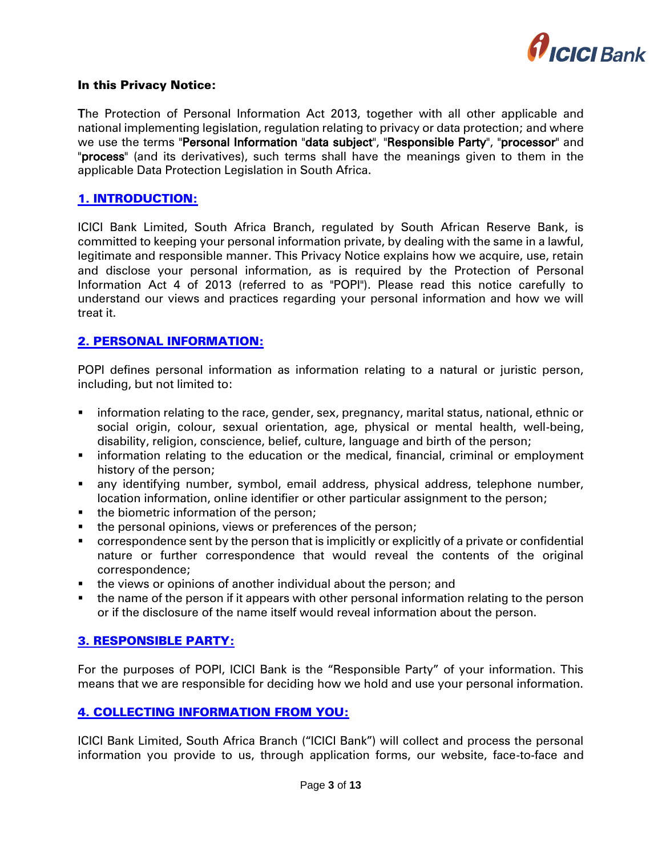

#### In this Privacy Notice:

The Protection of Personal Information Act 2013, together with all other applicable and national implementing legislation, regulation relating to privacy or data protection; and where we use the terms "Personal Information "data subject", "Responsible Party", "processor" and "process" (and its derivatives), such terms shall have the meanings given to them in the applicable Data Protection Legislation in South Africa.

# <span id="page-2-0"></span>[1. INTRODUCTION:](#page-1-0)

ICICI Bank Limited, South Africa Branch, regulated by South African Reserve Bank, is committed to keeping your personal information private, by dealing with the same in a lawful, legitimate and responsible manner. This Privacy Notice explains how we acquire, use, retain and disclose your personal information, as is required by the Protection of Personal Information Act 4 of 2013 (referred to as "POPI"). Please read this notice carefully to understand our views and practices regarding your personal information and how we will treat it.

# <span id="page-2-1"></span>[2. PERSONAL INFORMATION:](#page-1-1)

POPI defines personal information as information relating to a natural or juristic person, including, but not limited to:

- information relating to the race, gender, sex, pregnancy, marital status, national, ethnic or social origin, colour, sexual orientation, age, physical or mental health, well-being, disability, religion, conscience, belief, culture, language and birth of the person;
- **•** information relating to the education or the medical, financial, criminal or employment history of the person;
- any identifying number, symbol, email address, physical address, telephone number, location information, online identifier or other particular assignment to the person;
- the biometric information of the person;
- the personal opinions, views or preferences of the person;
- correspondence sent by the person that is implicitly or explicitly of a private or confidential nature or further correspondence that would reveal the contents of the original correspondence;
- **the views or opinions of another individual about the person; and**
- the name of the person if it appears with other personal information relating to the person or if the disclosure of the name itself would reveal information about the person.

### <span id="page-2-2"></span>[3. RESPONSIBLE PARTY:](#page-1-2)

For the purposes of POPI, ICICI Bank is the "Responsible Party" of your information. This means that we are responsible for deciding how we hold and use your personal information.

### <span id="page-2-3"></span>[4. COLLECTING INFORMATION](#page-1-3) FROM YOU:

ICICI Bank Limited, South Africa Branch ("ICICI Bank") will collect and process the personal information you provide to us, through application forms, our website, face-to-face and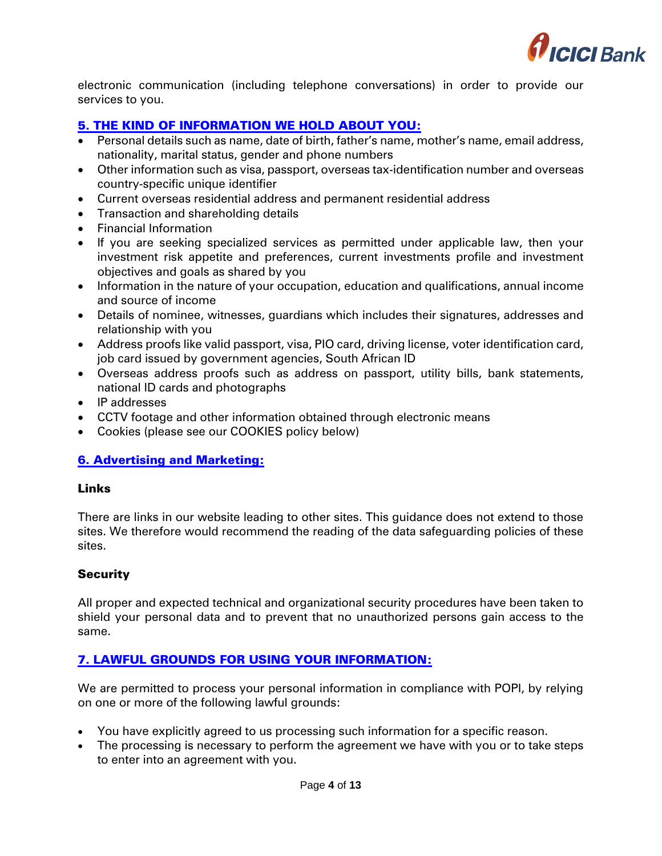

electronic communication (including telephone conversations) in order to provide our services to you.

# <span id="page-3-0"></span>[5. THE KIND OF INFORMATION WE HOLD ABOUT YOU:](#page-1-4)

- Personal details such as name, date of birth, father's name, mother's name, email address, nationality, marital status, gender and phone numbers
- Other information such as visa, passport, overseas tax-identification number and overseas country-specific unique identifier
- Current overseas residential address and permanent residential address
- Transaction and shareholding details
- Financial Information
- If you are seeking specialized services as permitted under applicable law, then your investment risk appetite and preferences, current investments profile and investment objectives and goals as shared by you
- Information in the nature of your occupation, education and qualifications, annual income and source of income
- Details of nominee, witnesses, guardians which includes their signatures, addresses and relationship with you
- Address proofs like valid passport, visa, PIO card, driving license, voter identification card, job card issued by government agencies, South African ID
- Overseas address proofs such as address on passport, utility bills, bank statements, national ID cards and photographs
- IP addresses
- CCTV footage and other information obtained through electronic means
- Cookies (please see our COOKIES policy below)

### <span id="page-3-1"></span>[6. Advertising and Marketing:](#page-1-5)

#### Links

There are links in our website leading to other sites. This guidance does not extend to those sites. We therefore would recommend the reading of the data safeguarding policies of these sites.

### **Security**

All proper and expected technical and organizational security procedures have been taken to shield your personal data and to prevent that no unauthorized persons gain access to the same.

### <span id="page-3-2"></span>[7. LAWFUL GROUNDS FOR USING YOUR INFORMATION:](#page-1-6)

We are permitted to process your personal information in compliance with POPI, by relying on one or more of the following lawful grounds:

- You have explicitly agreed to us processing such information for a specific reason.
- The processing is necessary to perform the agreement we have with you or to take steps to enter into an agreement with you.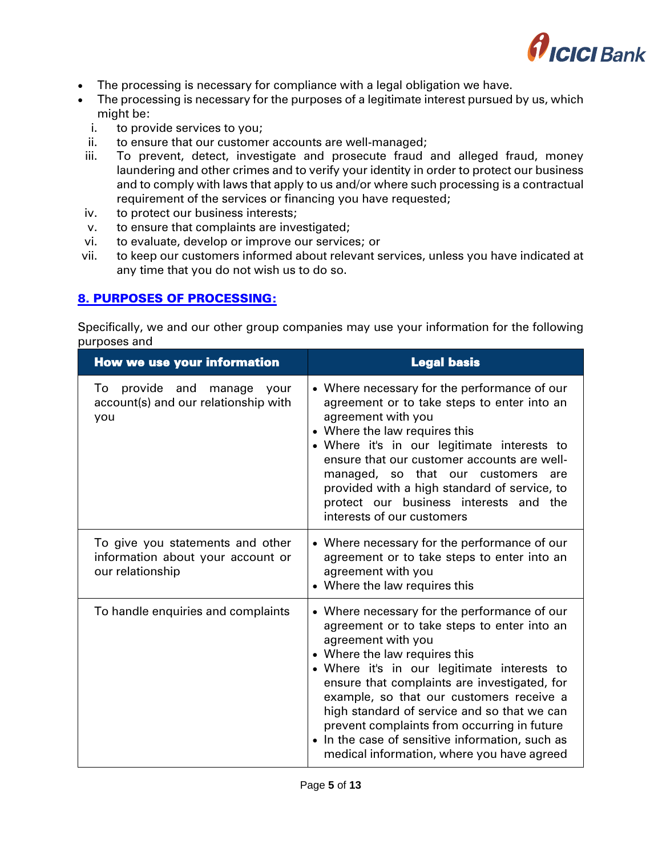

- The processing is necessary for compliance with a legal obligation we have.
- The processing is necessary for the purposes of a legitimate interest pursued by us, which might be:
	- i. to provide services to you;
- ii. to ensure that our customer accounts are well-managed;
- iii. To prevent, detect, investigate and prosecute fraud and alleged fraud, money laundering and other crimes and to verify your identity in order to protect our business and to comply with laws that apply to us and/or where such processing is a contractual requirement of the services or financing you have requested;
- iv. to protect our business interests;
- v. to ensure that complaints are investigated;
- vi. to evaluate, develop or improve our services; or
- vii. to keep our customers informed about relevant services, unless you have indicated at any time that you do not wish us to do so.

### <span id="page-4-0"></span>[8. PURPOSES OF PROCESSING:](#page-1-7)

Specifically, we and our other group companies may use your information for the following purposes and

| <b>How we use your information</b>                                                        | <b>Legal basis</b>                                                                                                                                                                                                                                                                                                                                                                                                                                                                           |
|-------------------------------------------------------------------------------------------|----------------------------------------------------------------------------------------------------------------------------------------------------------------------------------------------------------------------------------------------------------------------------------------------------------------------------------------------------------------------------------------------------------------------------------------------------------------------------------------------|
| provide and manage<br>To<br>your<br>account(s) and our relationship with<br>you           | • Where necessary for the performance of our<br>agreement or to take steps to enter into an<br>agreement with you<br>• Where the law requires this<br>· Where it's in our legitimate interests to<br>ensure that our customer accounts are well-<br>managed, so that our customers are<br>provided with a high standard of service, to<br>protect our business interests and the<br>interests of our customers                                                                               |
| To give you statements and other<br>information about your account or<br>our relationship | • Where necessary for the performance of our<br>agreement or to take steps to enter into an<br>agreement with you<br>• Where the law requires this                                                                                                                                                                                                                                                                                                                                           |
| To handle enquiries and complaints                                                        | • Where necessary for the performance of our<br>agreement or to take steps to enter into an<br>agreement with you<br>• Where the law requires this<br>• Where it's in our legitimate interests to<br>ensure that complaints are investigated, for<br>example, so that our customers receive a<br>high standard of service and so that we can<br>prevent complaints from occurring in future<br>• In the case of sensitive information, such as<br>medical information, where you have agreed |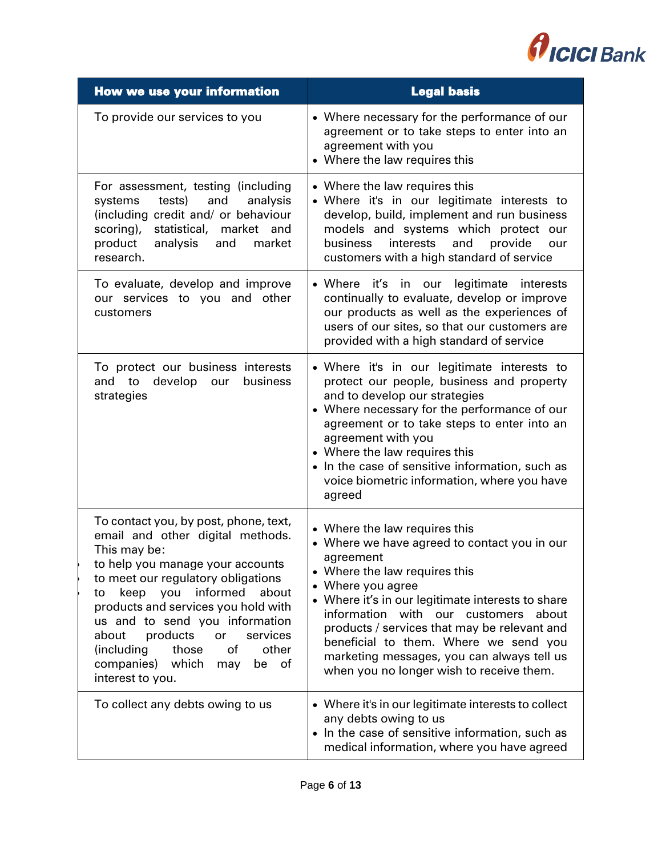

| <b>How we use your information</b>                                                                                                                                                                                                                                                                                                                                                                                                | <b>Legal basis</b>                                                                                                                                                                                                                                                                                                                                                                                                                  |  |
|-----------------------------------------------------------------------------------------------------------------------------------------------------------------------------------------------------------------------------------------------------------------------------------------------------------------------------------------------------------------------------------------------------------------------------------|-------------------------------------------------------------------------------------------------------------------------------------------------------------------------------------------------------------------------------------------------------------------------------------------------------------------------------------------------------------------------------------------------------------------------------------|--|
| To provide our services to you                                                                                                                                                                                                                                                                                                                                                                                                    | • Where necessary for the performance of our<br>agreement or to take steps to enter into an<br>agreement with you<br>• Where the law requires this                                                                                                                                                                                                                                                                                  |  |
| For assessment, testing (including<br>systems<br>tests)<br>and<br>analysis<br>(including credit and/ or behaviour<br>statistical, market and<br>scoring),<br>product<br>analysis<br>and<br>market<br>research.                                                                                                                                                                                                                    | • Where the law requires this<br>· Where it's in our legitimate interests to<br>develop, build, implement and run business<br>models and systems which protect our<br>interests<br>and<br>provide<br>business<br>our<br>customers with a high standard of service                                                                                                                                                                   |  |
| To evaluate, develop and improve<br>our services to you and other<br>customers                                                                                                                                                                                                                                                                                                                                                    | legitimate interests<br>• Where it's in our<br>continually to evaluate, develop or improve<br>our products as well as the experiences of<br>users of our sites, so that our customers are<br>provided with a high standard of service                                                                                                                                                                                               |  |
| To protect our business interests<br>and to develop our<br>business<br>strategies                                                                                                                                                                                                                                                                                                                                                 | • Where it's in our legitimate interests to<br>protect our people, business and property<br>and to develop our strategies<br>• Where necessary for the performance of our<br>agreement or to take steps to enter into an<br>agreement with you<br>• Where the law requires this<br>• In the case of sensitive information, such as<br>voice biometric information, where you have<br>agreed                                         |  |
| To contact you, by post, phone, text,<br>email and other digital methods.<br>This may be:<br>to help you manage your accounts<br>to meet our regulatory obligations<br>informed<br>keep<br>you<br>about<br>to<br>products and services you hold with<br>us and to send you information<br>about<br>products<br>services<br>or<br>(including<br>other<br>those<br>of<br>which<br>companies)<br>of<br>be<br>may<br>interest to you. | • Where the law requires this<br>• Where we have agreed to contact you in our<br>agreement<br>• Where the law requires this<br>• Where you agree<br>• Where it's in our legitimate interests to share<br>information with our customers<br>about<br>products / services that may be relevant and<br>beneficial to them. Where we send you<br>marketing messages, you can always tell us<br>when you no longer wish to receive them. |  |
| To collect any debts owing to us                                                                                                                                                                                                                                                                                                                                                                                                  | • Where it's in our legitimate interests to collect<br>any debts owing to us<br>• In the case of sensitive information, such as<br>medical information, where you have agreed                                                                                                                                                                                                                                                       |  |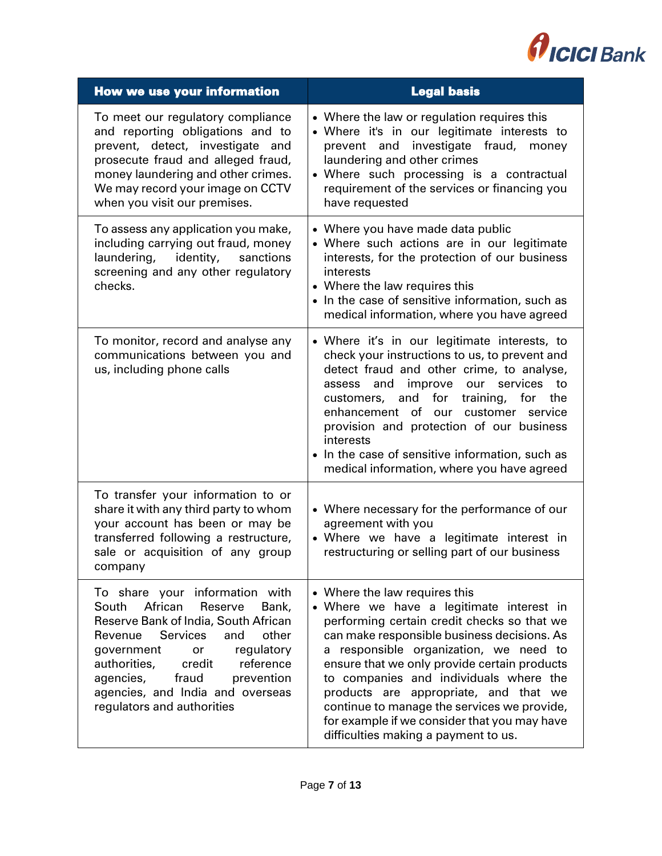

| <b>How we use your information</b>                                                                                                                                                                                                                                                                                                          | <b>Legal basis</b>                                                                                                                                                                                                                                                                                                                                                                                                                                                                          |
|---------------------------------------------------------------------------------------------------------------------------------------------------------------------------------------------------------------------------------------------------------------------------------------------------------------------------------------------|---------------------------------------------------------------------------------------------------------------------------------------------------------------------------------------------------------------------------------------------------------------------------------------------------------------------------------------------------------------------------------------------------------------------------------------------------------------------------------------------|
| To meet our regulatory compliance<br>and reporting obligations and to<br>prevent, detect, investigate and<br>prosecute fraud and alleged fraud,<br>money laundering and other crimes.<br>We may record your image on CCTV<br>when you visit our premises.                                                                                   | • Where the law or regulation requires this<br>• Where it's in our legitimate interests to<br>prevent and investigate fraud,<br>money<br>laundering and other crimes<br>• Where such processing is a contractual<br>requirement of the services or financing you<br>have requested                                                                                                                                                                                                          |
| To assess any application you make,<br>including carrying out fraud, money<br>identity,<br>laundering,<br>sanctions<br>screening and any other regulatory<br>checks.                                                                                                                                                                        | • Where you have made data public<br>• Where such actions are in our legitimate<br>interests, for the protection of our business<br>interests<br>• Where the law requires this<br>• In the case of sensitive information, such as<br>medical information, where you have agreed                                                                                                                                                                                                             |
| To monitor, record and analyse any<br>communications between you and<br>us, including phone calls                                                                                                                                                                                                                                           | • Where it's in our legitimate interests, to<br>check your instructions to us, to prevent and<br>detect fraud and other crime, to analyse,<br>improve our services<br>and<br>to<br>assess<br>customers, and<br>for<br>training,<br>for<br>the<br>enhancement of our customer service<br>provision and protection of our business<br>interests<br>• In the case of sensitive information, such as<br>medical information, where you have agreed                                              |
| To transfer your information to or<br>share it with any third party to whom<br>your account has been or may be<br>transferred following a restructure,<br>sale or acquisition of any group<br>company                                                                                                                                       | • Where necessary for the performance of our<br>agreement with you<br>• Where we have a legitimate interest in<br>restructuring or selling part of our business                                                                                                                                                                                                                                                                                                                             |
| To share your information with<br>African<br>South<br>Reserve<br>Bank,<br>Reserve Bank of India, South African<br><b>Services</b><br>Revenue<br>and<br>other<br>regulatory<br>government<br>or<br>authorities,<br>credit<br>reference<br>agencies,<br>fraud<br>prevention<br>agencies, and India and overseas<br>regulators and authorities | • Where the law requires this<br>• Where we have a legitimate interest in<br>performing certain credit checks so that we<br>can make responsible business decisions. As<br>a responsible organization, we need to<br>ensure that we only provide certain products<br>to companies and individuals where the<br>products are appropriate, and that we<br>continue to manage the services we provide,<br>for example if we consider that you may have<br>difficulties making a payment to us. |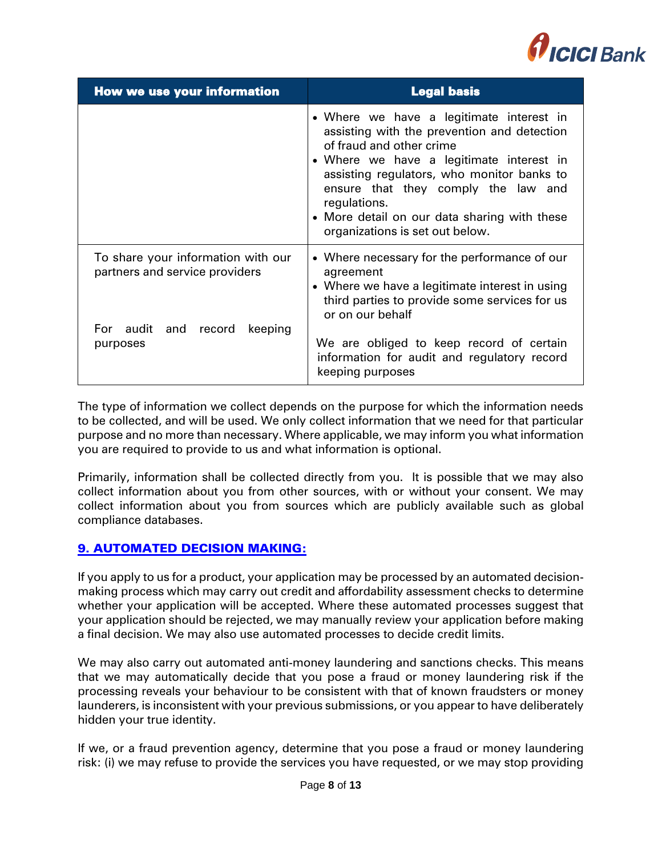

| <b>How we use your information</b>                                                                               | <b>Legal basis</b>                                                                                                                                                                                                                                                                                                                                      |
|------------------------------------------------------------------------------------------------------------------|---------------------------------------------------------------------------------------------------------------------------------------------------------------------------------------------------------------------------------------------------------------------------------------------------------------------------------------------------------|
|                                                                                                                  | • Where we have a legitimate interest in<br>assisting with the prevention and detection<br>of fraud and other crime<br>• Where we have a legitimate interest in<br>assisting regulators, who monitor banks to<br>ensure that they comply the law and<br>regulations.<br>• More detail on our data sharing with these<br>organizations is set out below. |
| To share your information with our<br>partners and service providers<br>For audit and record keeping<br>purposes | • Where necessary for the performance of our<br>agreement<br>• Where we have a legitimate interest in using<br>third parties to provide some services for us<br>or on our behalf<br>We are obliged to keep record of certain<br>information for audit and regulatory record<br>keeping purposes                                                         |

The type of information we collect depends on the purpose for which the information needs to be collected, and will be used. We only collect information that we need for that particular purpose and no more than necessary. Where applicable, we may inform you what information you are required to provide to us and what information is optional.

Primarily, information shall be collected directly from you. It is possible that we may also collect information about you from other sources, with or without your consent. We may collect information about you from sources which are publicly available such as global compliance databases.

# <span id="page-7-0"></span>[9. AUTOMATED DECISION MAKING:](#page-1-8)

If you apply to us for a product, your application may be processed by an automated decisionmaking process which may carry out credit and affordability assessment checks to determine whether your application will be accepted. Where these automated processes suggest that your application should be rejected, we may manually review your application before making a final decision. We may also use automated processes to decide credit limits.

We may also carry out automated anti-money laundering and sanctions checks. This means that we may automatically decide that you pose a fraud or money laundering risk if the processing reveals your behaviour to be consistent with that of known fraudsters or money launderers, is inconsistent with your previous submissions, or you appear to have deliberately hidden your true identity.

If we, or a fraud prevention agency, determine that you pose a fraud or money laundering risk: (i) we may refuse to provide the services you have requested, or we may stop providing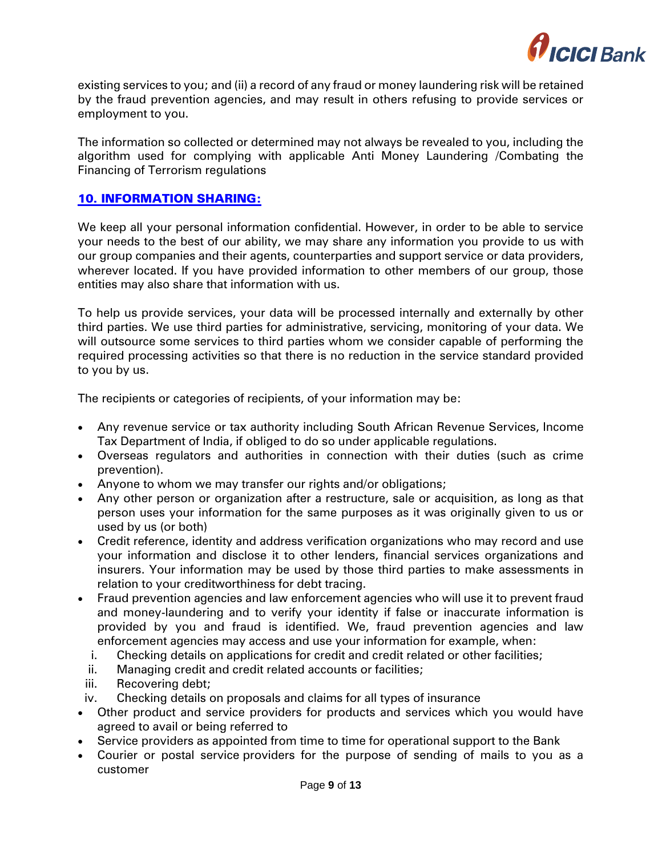

existing services to you; and (ii) a record of any fraud or money laundering risk will be retained by the fraud prevention agencies, and may result in others refusing to provide services or employment to you.

The information so collected or determined may not always be revealed to you, including the algorithm used for complying with applicable Anti Money Laundering /Combating the Financing of Terrorism regulations

# <span id="page-8-0"></span>[10. INFORMATION SHARING:](#page-1-9)

We keep all your personal information confidential. However, in order to be able to service your needs to the best of our ability, we may share any information you provide to us with our group companies and their agents, counterparties and support service or data providers, wherever located. If you have provided information to other members of our group, those entities may also share that information with us.

To help us provide services, your data will be processed internally and externally by other third parties. We use third parties for administrative, servicing, monitoring of your data. We will outsource some services to third parties whom we consider capable of performing the required processing activities so that there is no reduction in the service standard provided to you by us.

The recipients or categories of recipients, of your information may be:

- Any revenue service or tax authority including South African Revenue Services, Income Tax Department of India, if obliged to do so under applicable regulations.
- Overseas regulators and authorities in connection with their duties (such as crime prevention).
- Anyone to whom we may transfer our rights and/or obligations;
- Any other person or organization after a restructure, sale or acquisition, as long as that person uses your information for the same purposes as it was originally given to us or used by us (or both)
- Credit reference, identity and address verification organizations who may record and use your information and disclose it to other lenders, financial services organizations and insurers. Your information may be used by those third parties to make assessments in relation to your creditworthiness for debt tracing.
- Fraud prevention agencies and law enforcement agencies who will use it to prevent fraud and money-laundering and to verify your identity if false or inaccurate information is provided by you and fraud is identified. We, fraud prevention agencies and law enforcement agencies may access and use your information for example, when:
	- i. Checking details on applications for credit and credit related or other facilities;
	- ii. Managing credit and credit related accounts or facilities;
- iii. Recovering debt;
- iv. Checking details on proposals and claims for all types of insurance
- Other product and service providers for products and services which you would have agreed to avail or being referred to
- Service providers as appointed from time to time for operational support to the Bank
- Courier or postal service providers for the purpose of sending of mails to you as a customer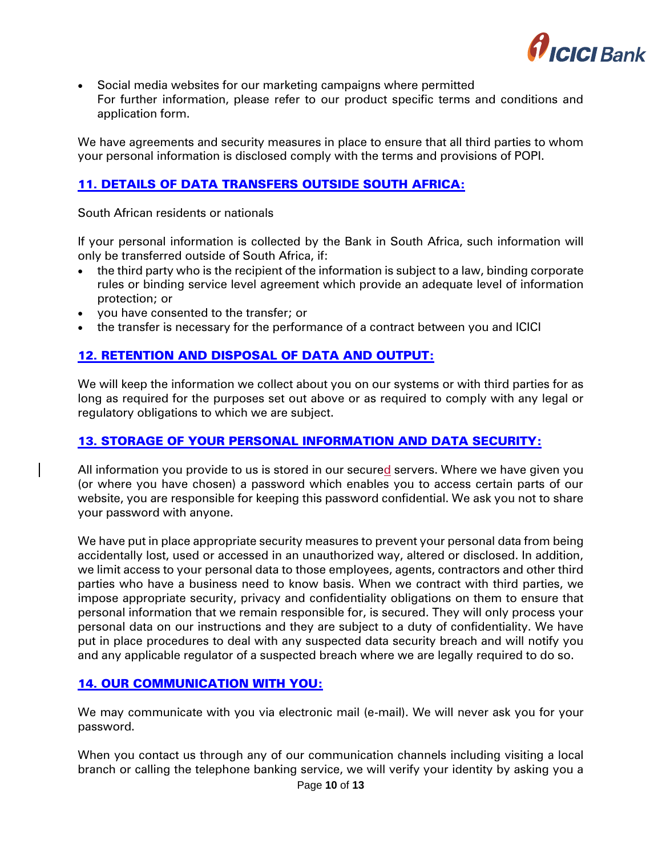

 Social media websites for our marketing campaigns where permitted For further information, please refer to our product specific terms and conditions and application form.

We have agreements and security measures in place to ensure that all third parties to whom your personal information is disclosed comply with the terms and provisions of POPI.

# <span id="page-9-0"></span>[11. DETAILS OF DATA TRANSFERS OUTSIDE SOUTH AFRICA:](#page-1-10)

South African residents or nationals

If your personal information is collected by the Bank in South Africa, such information will only be transferred outside of South Africa, if:

- the third party who is the recipient of the information is subject to a law, binding corporate rules or binding service level agreement which provide an adequate level of information protection; or
- you have consented to the transfer; or
- the transfer is necessary for the performance of a contract between you and ICICI

# <span id="page-9-1"></span>[12. RETENTION AND DISPOSAL OF DATA AND OUTPUT:](#page-1-11)

We will keep the information we collect about you on our systems or with third parties for as long as required for the purposes set out above or as required to comply with any legal or regulatory obligations to which we are subject.

### <span id="page-9-2"></span>[13. STORAGE OF YOUR PERSONAL INFORMATION AND DATA SECURITY:](#page-1-12)

All information you provide to us is stored in our secured servers. Where we have given you (or where you have chosen) a password which enables you to access certain parts of our website, you are responsible for keeping this password confidential. We ask you not to share your password with anyone.

We have put in place appropriate security measures to prevent your personal data from being accidentally lost, used or accessed in an unauthorized way, altered or disclosed. In addition, we limit access to your personal data to those employees, agents, contractors and other third parties who have a business need to know basis. When we contract with third parties, we impose appropriate security, privacy and confidentiality obligations on them to ensure that personal information that we remain responsible for, is secured. They will only process your personal data on our instructions and they are subject to a duty of confidentiality. We have put in place procedures to deal with any suspected data security breach and will notify you and any applicable regulator of a suspected breach where we are legally required to do so.

# <span id="page-9-3"></span>[14. OUR COMMUNICATION WITH YOU:](#page-1-13)

We may communicate with you via electronic mail (e-mail). We will never ask you for your password.

When you contact us through any of our communication channels including visiting a local branch or calling the telephone banking service, we will verify your identity by asking you a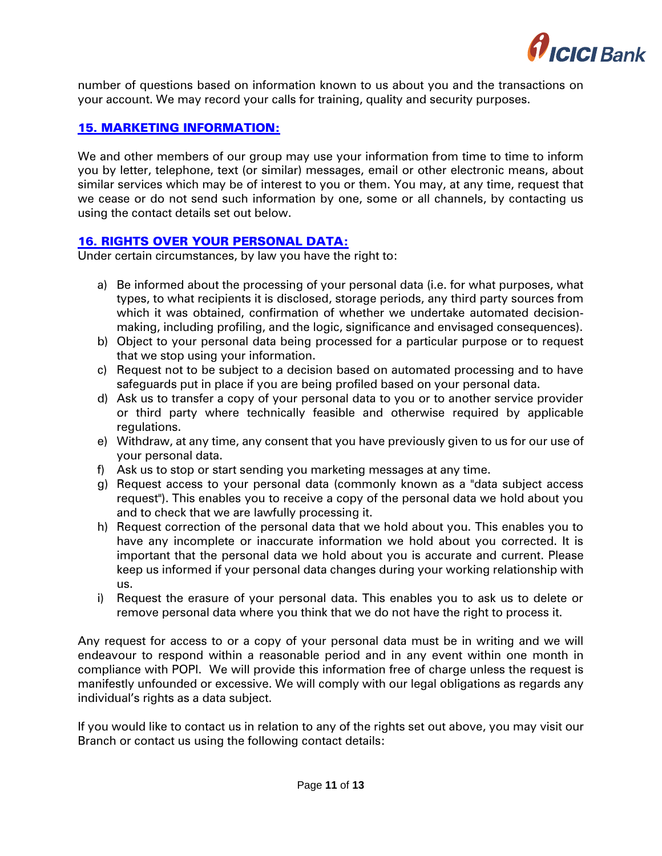

number of questions based on information known to us about you and the transactions on your account. We may record your calls for training, quality and security purposes.

# <span id="page-10-0"></span>[15. MARKETING INFORMATION:](#page-1-14)

We and other members of our group may use your information from time to time to inform you by letter, telephone, text (or similar) messages, email or other electronic means, about similar services which may be of interest to you or them. You may, at any time, request that we cease or do not send such information by one, some or all channels, by contacting us using the contact details set out below.

# <span id="page-10-1"></span>[16. RIGHTS OVER YOUR PERSONAL DATA:](#page-1-15)

Under certain circumstances, by law you have the right to:

- a) Be informed about the processing of your personal data (i.e. for what purposes, what types, to what recipients it is disclosed, storage periods, any third party sources from which it was obtained, confirmation of whether we undertake automated decisionmaking, including profiling, and the logic, significance and envisaged consequences).
- b) Object to your personal data being processed for a particular purpose or to request that we stop using your information.
- c) Request not to be subject to a decision based on automated processing and to have safeguards put in place if you are being profiled based on your personal data.
- d) Ask us to transfer a copy of your personal data to you or to another service provider or third party where technically feasible and otherwise required by applicable regulations.
- e) Withdraw, at any time, any consent that you have previously given to us for our use of your personal data.
- f) Ask us to stop or start sending you marketing messages at any time.
- g) Request access to your personal data (commonly known as a "data subject access request"). This enables you to receive a copy of the personal data we hold about you and to check that we are lawfully processing it.
- h) Request correction of the personal data that we hold about you. This enables you to have any incomplete or inaccurate information we hold about you corrected. It is important that the personal data we hold about you is accurate and current. Please keep us informed if your personal data changes during your working relationship with us.
- i) Request the erasure of your personal data. This enables you to ask us to delete or remove personal data where you think that we do not have the right to process it.

Any request for access to or a copy of your personal data must be in writing and we will endeavour to respond within a reasonable period and in any event within one month in compliance with POPI. We will provide this information free of charge unless the request is manifestly unfounded or excessive. We will comply with our legal obligations as regards any individual's rights as a data subject.

If you would like to contact us in relation to any of the rights set out above, you may visit our Branch or contact us using the following contact details: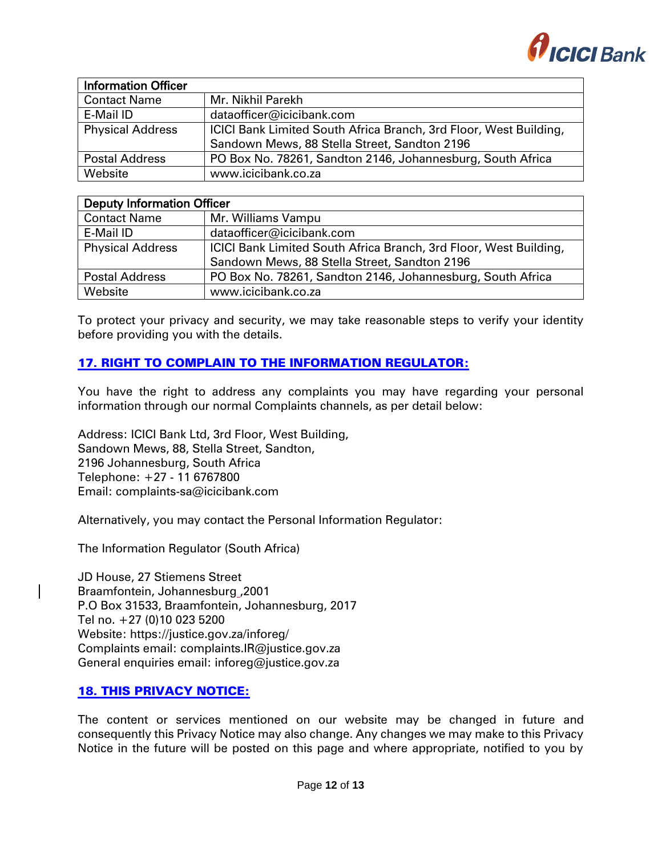

| <b>Information Officer</b> |                                                                   |
|----------------------------|-------------------------------------------------------------------|
| <b>Contact Name</b>        | Mr. Nikhil Parekh                                                 |
| E-Mail ID                  | dataofficer@icicibank.com                                         |
| <b>Physical Address</b>    | ICICI Bank Limited South Africa Branch, 3rd Floor, West Building, |
|                            | Sandown Mews, 88 Stella Street, Sandton 2196                      |
| Postal Address             | PO Box No. 78261, Sandton 2146, Johannesburg, South Africa        |
| Website                    | www.icicibank.co.za                                               |

| <b>Deputy Information Officer</b> |                                                                   |  |
|-----------------------------------|-------------------------------------------------------------------|--|
| <b>Contact Name</b>               | Mr. Williams Vampu                                                |  |
| E-Mail ID                         | dataofficer@icicibank.com                                         |  |
| <b>Physical Address</b>           | ICICI Bank Limited South Africa Branch, 3rd Floor, West Building, |  |
|                                   | Sandown Mews, 88 Stella Street, Sandton 2196                      |  |
| <b>Postal Address</b>             | PO Box No. 78261, Sandton 2146, Johannesburg, South Africa        |  |
| Website                           | www.icicibank.co.za                                               |  |

To protect your privacy and security, we may take reasonable steps to verify your identity before providing you with the details.

# <span id="page-11-0"></span>[17. RIGHT TO COMPLAIN TO THE INFORMATION REGULATOR:](#page-1-16)

You have the right to address any complaints you may have regarding your personal information through our normal Complaints channels, as per detail below:

Address: ICICI Bank Ltd, 3rd Floor, West Building, Sandown Mews, 88, Stella Street, Sandton, 2196 Johannesburg, South Africa Telephone: +27 - 11 6767800 Email: [complaints-sa@icicibank.com](mailto:complaints-sa@icicibank.com)

Alternatively, you may contact the Personal Information Regulator:

The Information Regulator (South Africa)

JD House, 27 Stiemens Street Braamfontein, Johannesburg ,2001 P.O Box 31533, Braamfontein, Johannesburg, 2017 Tel no. +27 (0)10 023 5200 Website: https://justice.gov.za/inforeg/ Complaints email: complaints.IR@justice.gov.za General enquiries email: inforeg@justice.gov.za

### <span id="page-11-1"></span>[18. THIS PRIVACY NOTICE:](#page-1-17)

The content or services mentioned on our website may be changed in future and consequently this Privacy Notice may also change. Any changes we may make to this Privacy Notice in the future will be posted on this page and where appropriate, notified to you by